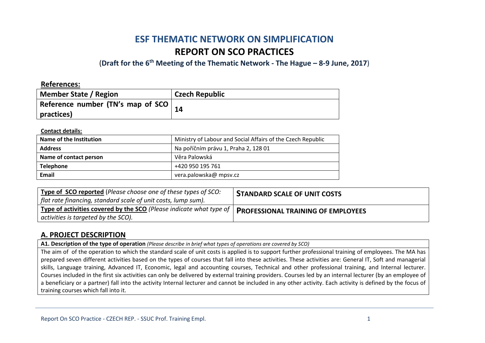# **ESF THEMATIC NETWORK ON SIMPLIFICATION REPORT ON SCO PRACTICES**

(**Draft for the 6th Meeting of the Thematic Network - The Hague – 8-9 June, 2017**)

| <b>References:</b>                                  |                       |
|-----------------------------------------------------|-----------------------|
| <b>Member State / Region</b>                        | <b>Czech Republic</b> |
| Reference number (TN's map of SCO $ $<br>practices) |                       |

### **Contact details:**

| Name of the Institution | Ministry of Labour and Social Affairs of the Czech Republic |
|-------------------------|-------------------------------------------------------------|
| <b>Address</b>          | Na poříčním právu 1, Praha 2, 128 01                        |
| Name of contact person  | Věra Palowská                                               |
| <b>Telephone</b>        | +420 950 195 761                                            |
| Email                   | vera.palowska@ mpsv.cz                                      |

| Type of SCO reported (Please choose one of these types of SCO:<br>flat rate financing, standard scale of unit costs, lump sum).                                             | <b>STANDARD SCALE OF UNIT COSTS</b> |
|-----------------------------------------------------------------------------------------------------------------------------------------------------------------------------|-------------------------------------|
| $\frac{1}{2}$ Type of activities covered by the SCO (Please indicate what type of   PROFESSIONAL TRAINING OF EMPLOYEES<br>$\frac{1}{2}$ activities is targeted by the SCO). |                                     |

## **A. PROJECT DESCRIPTION**

**A1. Description of the type of operation** *(Please describe in brief what types of operations are covered by SCO)*

The aim of of the operation to which the standard scale of unit costs is applied is to support further professional training of employees. The MA has prepared seven different activities based on the types of courses that fall into these activities. These activities are: General IT, Soft and managerial skills, Language training, Advanced IT, Economic, legal and accounting courses, Technical and other professional training, and Internal lecturer. Courses included in the first six activities can only be delivered by external training providers. Courses led by an internal lecturer (by an employee of a beneficiary or a partner) fall into the activity Internal lecturer and cannot be included in any other activity. Each activity is defined by the focus of training courses which fall into it.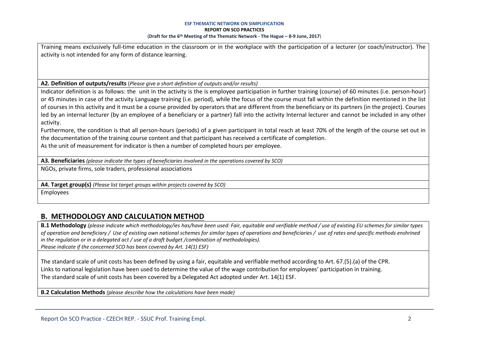Training means exclusively full-time education in the classroom or in the workplace with the participation of a lecturer (or coach/instructor). The activity is not intended for any form of distance learning.

**A2. Definition of outputs/results** (*Please give a short definition of outputs and/or results)*

Indicator definition is as follows: the unit in the activity is the is employee participation in further training (course) of 60 minutes (i.e. person-hour) or 45 minutes in case of the activity Language training (i.e. period), while the focus of the course must fall within the definition mentioned in the list of courses in this activity and it must be a course provided by operators that are different from the beneficiary or its partners (in the project). Courses led by an internal lecturer (by an employee of a beneficiary or a partner) fall into the activity Internal lecturer and cannot be included in any other activity.

Furthermore, the condition is that all person-hours (periods) of a given participant in total reach at least 70% of the length of the course set out in the documentation of the training course content and that participant has received a certificate of completion.

As the unit of measurement for indicator is then a number of completed hours per employee.

**A3. Beneficiaries** *(please indicate the types of beneficiaries involved in the operations covered by SCO)*

NGOs, private firms, sole traders, professional associations

**A4. Target group(s)** *(Please list target groups within projects covered by SCO)*

Employees

## **B. METHODOLOGY AND CALCULATION METHOD**

**B.1 Methodology** *(please indicate which methodology/ies has/have been used: Fair, equitable and verifiable method / use of existing EU schemes for similar types of operation and beneficiary / Use of existing own national schemes for similar types of operations and beneficiaries / use of rates and specific methods enshrined in the regulation or in a delegated act / use of a draft budget /combination of methodologies). Please indicate if the concerned SCO has been covered by Art. 14(1) ESF)*

The standard scale of unit costs has been defined by using a fair, equitable and verifiable method according to Art. 67.(5).(a) of the CPR. Links to national legislation have been used to determine the value of the wage contribution for employees' participation in training. The standard scale of unit costs has been covered by a Delegated Act adopted under Art. 14(1) ESF.

**B.2 Calculation Methods** *(please describe how the calculations have been made)*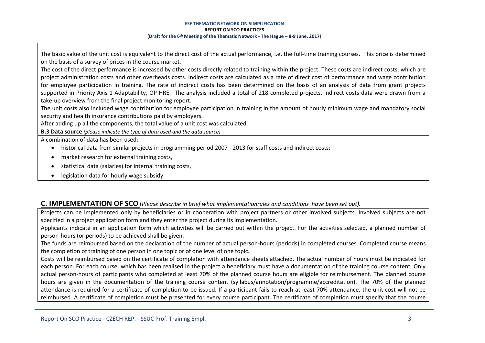The basic value of the unit cost is equivalent to the direct cost of the actual performance, i.e. the full-time training courses. This price is determined on the basis of a survey of prices in the course market.

The cost of the direct performance is increased by other costs directly related to training within the project. These costs are indirect costs, which are project administration costs and other overheads costs. Indirect costs are calculated as a rate of direct cost of performance and wage contribution for employee participation in training. The rate of indirect costs has been determined on the basis of an analysis of data from grant projects supported in Priority Axis 1 Adaptability, OP HRE. The analysis included a total of 218 completed projects. Indirect costs data were drawn from a take-up overview from the final project monitoring report.

The unit costs also included wage contribution for employee participation in training in the amount of hourly minimum wage and mandatory social security and health insurance contributions paid by employers.

After adding up all the components, the total value of a unit cost was calculated.

**B.3 Data source** *(please indicate the type of data used and the data source)*

A combination of data has been used:

- historical data from similar projects in programming period 2007 2013 for staff costs and indirect costs;
- market research for external training costs,
- statistical data (salaries) for internal training costs,
- legislation data for hourly wage subsidy.

### **C. IMPLEMENTATION OF SCO** (*Please describe in brief what implementationrules and conditions have been set out).*

Projects can be implemented only by beneficiaries or in cooperation with project partners or other involved subjects. Involved subjects are not specified in a project application form and they enter the project during its implementation.

Applicants indicate in an application form which activities will be carried out within the project. For the activities selected, a planned number of person-hours (or periods) to be achieved shall be given.

The funds are reimbursed based on the declaration of the number of actual person-hours (periods) in completed courses. Completed course means the completion of training of one person in one topic or of one level of one topic.

Costs will be reimbursed based on the certificate of completion with attendance sheets attached. The actual number of hours must be indicated for each person. For each course, which has been realised in the project a beneficiary must have a documentation of the training course content. Only actual person-hours of participants who completed at least 70% of the planned course hours are eligible for reimbursement. The planned course hours are given in the documentation of the training course content (syllabus/annotation/programme/accreditation). The 70% of the planned attendance is required for a certificate of completion to be issued. If a participant fails to reach at least 70% attendance, the unit cost will not be reimbursed. A certificate of completion must be presented for every course participant. The certificate of completion must specify that the course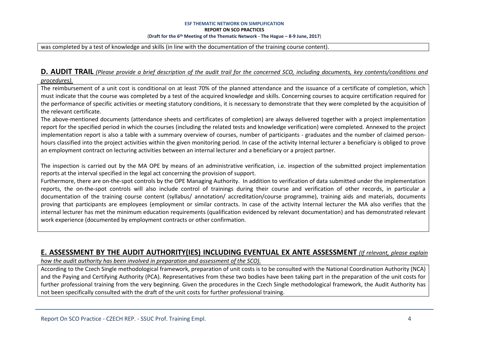was completed by a test of knowledge and skills (in line with the documentation of the training course content).

### **D. AUDIT TRAIL** *(Please provide a brief description of the audit trail for the concerned SCO, including documents, key contents/conditions and procedures).*

The reimbursement of a unit cost is conditional on at least 70% of the planned attendance and the issuance of a certificate of completion, which must indicate that the course was completed by a test of the acquired knowledge and skills. Concerning courses to acquire certification required for the performance of specific activities or meeting statutory conditions, it is necessary to demonstrate that they were completed by the acquisition of the relevant certificate.

The above-mentioned documents (attendance sheets and certificates of completion) are always delivered together with a project implementation report for the specified period in which the courses (including the related tests and knowledge verification) were completed. Annexed to the project implementation report is also a table with a summary overview of courses, number of participants - graduates and the number of claimed personhours classified into the project activities within the given monitoring period. In case of the activity Internal lecturer a beneficiary is obliged to prove an employment contract on lecturing activities between an internal lecturer and a beneficiary or a project partner.

The inspection is carried out by the MA OPE by means of an administrative verification, i.e. inspection of the submitted project implementation reports at the interval specified in the legal act concerning the provision of support.

Furthermore, there are on-the-spot controls by the OPE Managing Authority. In addition to verification of data submitted under the implementation reports, the on-the-spot controls will also include control of trainings during their course and verification of other records, in particular a documentation of the training course content (syllabus/ annotation/ accreditation/course programme), training aids and materials, documents proving that participants are employees (employment or similar contracts. In case of the activity Internal lecturer the MA also verifies that the internal lecturer has met the minimum education requirements (qualification evidenced by relevant documentation) and has demonstrated relevant work experience (documented by employment contracts or other confirmation.

### **E. ASSESSMENT BY THE AUDIT AUTHORITY(IES) INCLUDING EVENTUAL EX ANTE ASSESSMENT** *(If relevant, please explain*

*how the audit authority has been involved in preparation and assessment of the SCO).* 

According to the Czech Single methodological framework, preparation of unit costs is to be consulted with the National Coordination Authority (NCA) and the Paying and Certifying Authority (PCA). Representatives from these two bodies have been taking part in the preparation of the unit costs for further professional training from the very beginning. Given the procedures in the Czech Single methodological framework, the Audit Authority has not been specifically consulted with the draft of the unit costs for further professional training.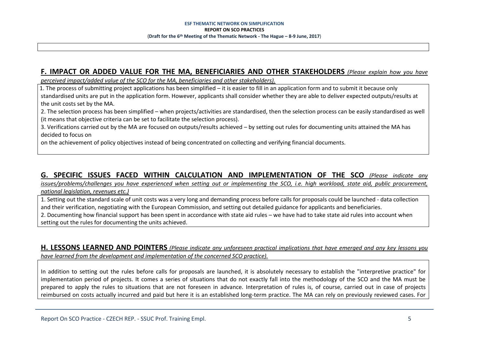## **F. IMPACT OR ADDED VALUE FOR THE MA, BENEFICIARIES AND OTHER STAKEHOLDERS** *(Please explain how you have*

*perceived impact/added value of the SCO for the MA, beneficiaries and other stakeholders).* 

- 1. The process of submitting project applications has been simplified – it is easier to fill in an application form and to submit it because only standardised units are put in the application form. However, applicants shall consider whether they are able to deliver expected outputs/results at the unit costs set by the MA.

2. The selection process has been simplified – when projects/activities are standardised, then the selection process can be easily standardised as well (it means that objective criteria can be set to facilitate the selection process).

3. Verifications carried out by the MA are focused on outputs/results achieved – by setting out rules for documenting units attained the MA has decided to focus on

on the achievement of policy objectives instead of being concentrated on collecting and verifying financial documents.

## **G. SPECIFIC ISSUES FACED WITHIN CALCULATION AND IMPLEMENTATION OF THE SCO** *(Please indicate any*

*issues/problems/challenges you have experienced when setting out or implementing the SCO, i.e. high workload, state aid, public procurement, national legislation, revenues etc.)*

1. Setting out the standard scale of unit costs was a very long and demanding process before calls for proposals could be launched - data collection and their verification, negotiating with the European Commission, and setting out detailed guidance for applicants and beneficiaries.

2. Documenting how financial support has been spent in accordance with state aid rules – we have had to take state aid rules into account when setting out the rules for documenting the units achieved.

### **H. LESSONS LEARNED AND POINTERS** *(Please indicate any unforeseen practical implications that have emerged and any key lessons you have learned from the development and implementation of the concerned SCO practice).*

In addition to setting out the rules before calls for proposals are launched, it is absolutely necessary to establish the "interpretive practice" for implementation period of projects. It comes a series of situations that do not exactly fall into the methodology of the SCO and the MA must be prepared to apply the rules to situations that are not foreseen in advance. Interpretation of rules is, of course, carried out in case of projects reimbursed on costs actually incurred and paid but here it is an established long-term practice. The MA can rely on previously reviewed cases. For